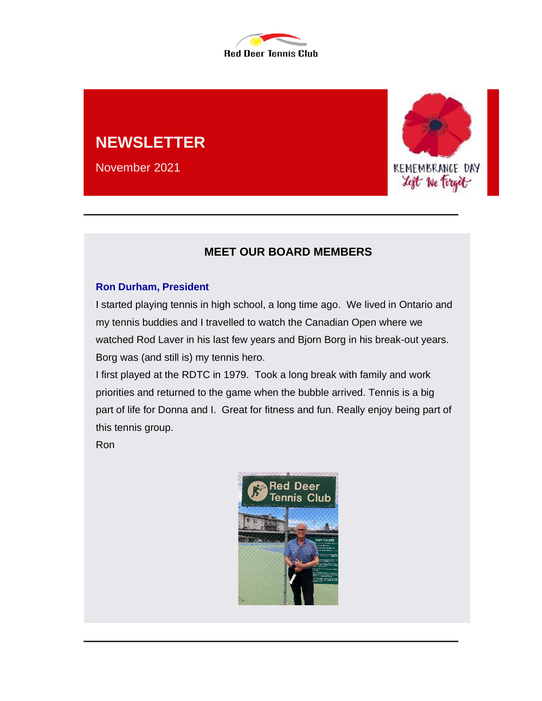

# **NEWSLETTER**

November 2021



# **MEET OUR BOARD MEMBERS**

#### **Ron Durham, President**

I started playing tennis in high school, a long time ago. We lived in Ontario and my tennis buddies and I travelled to watch the Canadian Open where we watched Rod Laver in his last few years and Bjorn Borg in his break-out years. Borg was (and still is) my tennis hero.

I first played at the RDTC in 1979. Took a long break with family and work priorities and returned to the game when the bubble arrived. Tennis is a big part of life for Donna and I. Great for fitness and fun. Really enjoy being part of this tennis group.

Ron

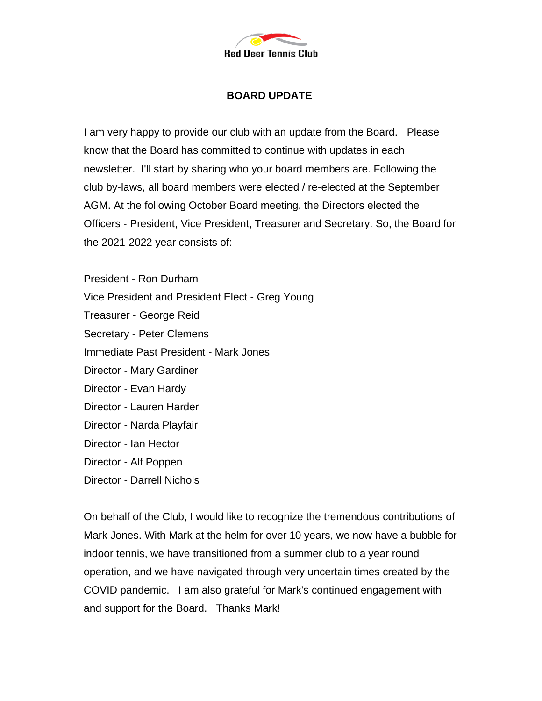

#### **BOARD UPDATE**

I am very happy to provide our club with an update from the Board. Please know that the Board has committed to continue with updates in each newsletter. I'll start by sharing who your board members are. Following the club by-laws, all board members were elected / re-elected at the September AGM. At the following October Board meeting, the Directors elected the Officers - President, Vice President, Treasurer and Secretary. So, the Board for the 2021-2022 year consists of:

President - Ron Durham Vice President and President Elect - Greg Young Treasurer - George Reid Secretary - Peter Clemens Immediate Past President - Mark Jones Director - Mary Gardiner Director - Evan Hardy Director - Lauren Harder Director - Narda Playfair Director - Ian Hector Director - Alf Poppen Director - Darrell Nichols

On behalf of the Club, I would like to recognize the tremendous contributions of Mark Jones. With Mark at the helm for over 10 years, we now have a bubble for indoor tennis, we have transitioned from a summer club to a year round operation, and we have navigated through very uncertain times created by the COVID pandemic. I am also grateful for Mark's continued engagement with and support for the Board. Thanks Mark!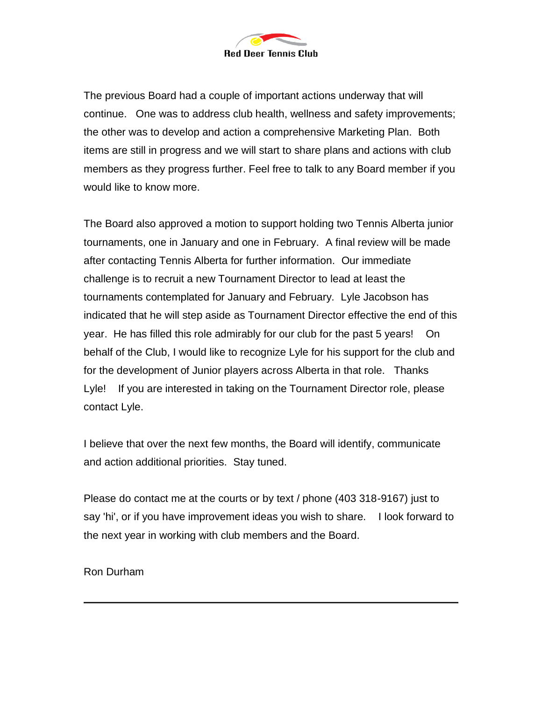

The previous Board had a couple of important actions underway that will continue. One was to address club health, wellness and safety improvements; the other was to develop and action a comprehensive Marketing Plan. Both items are still in progress and we will start to share plans and actions with club members as they progress further. Feel free to talk to any Board member if you would like to know more.

The Board also approved a motion to support holding two Tennis Alberta junior tournaments, one in January and one in February. A final review will be made after contacting Tennis Alberta for further information. Our immediate challenge is to recruit a new Tournament Director to lead at least the tournaments contemplated for January and February. Lyle Jacobson has indicated that he will step aside as Tournament Director effective the end of this year. He has filled this role admirably for our club for the past 5 years! On behalf of the Club, I would like to recognize Lyle for his support for the club and for the development of Junior players across Alberta in that role. Thanks Lyle! If you are interested in taking on the Tournament Director role, please contact Lyle.

I believe that over the next few months, the Board will identify, communicate and action additional priorities. Stay tuned.

Please do contact me at the courts or by text / phone (403 318-9167) just to say 'hi', or if you have improvement ideas you wish to share. I look forward to the next year in working with club members and the Board.

Ron Durham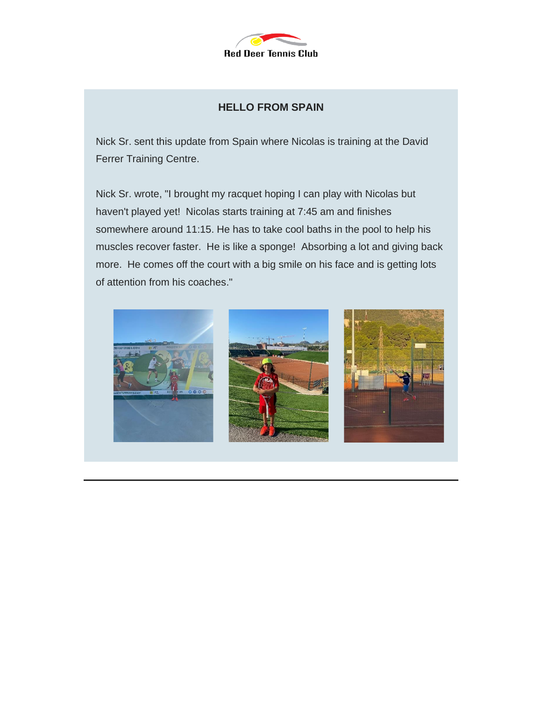

#### **HELLO FROM SPAIN**

Nick Sr. sent this update from Spain where Nicolas is training at the David Ferrer Training Centre.

Nick Sr. wrote, "I brought my racquet hoping I can play with Nicolas but haven't played yet! Nicolas starts training at 7:45 am and finishes somewhere around 11:15. He has to take cool baths in the pool to help his muscles recover faster. He is like a sponge! Absorbing a lot and giving back more. He comes off the court with a big smile on his face and is getting lots of attention from his coaches."





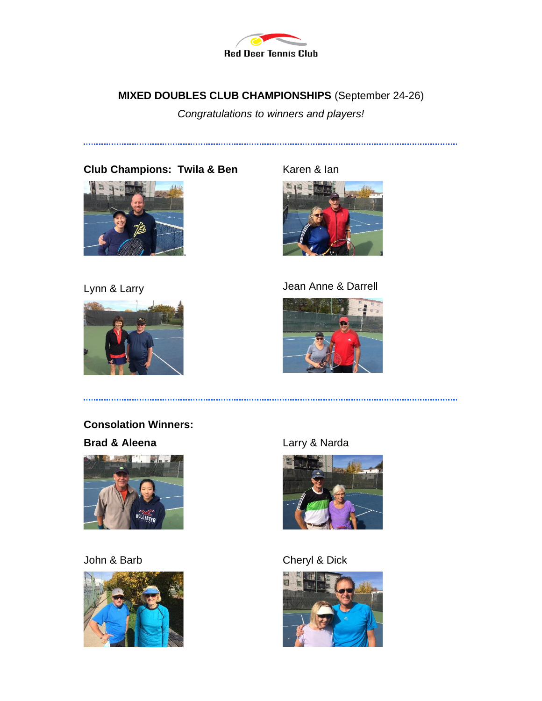

# **MIXED DOUBLES CLUB CHAMPIONSHIPS** (September 24-26)

*Congratulations to winners and players!*

# **Club Champions: Twila & Ben**



.................................

# Lynn & Larry



Karen & Ian



### Jean Anne & Darrell



**Consolation Winners: Brad & Aleena**



#### John & Barb



### Larry & Narda



# Cheryl & Dick

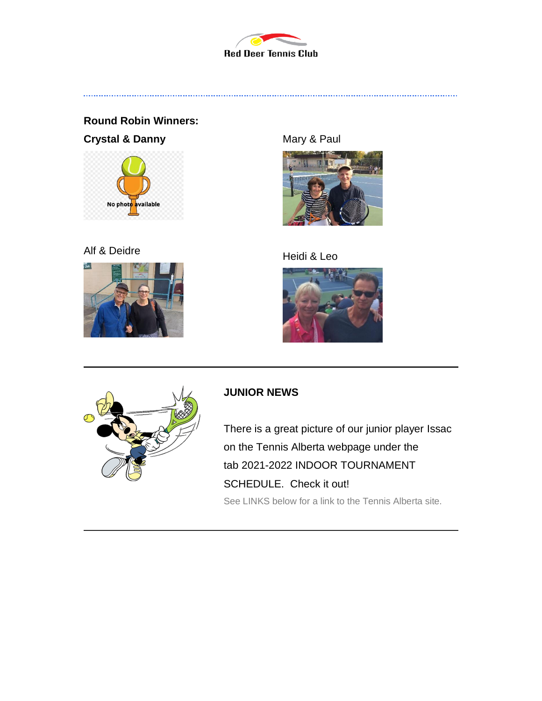

**Round Robin Winners: Crystal & Danny**



# Alf & Deidre



## Mary & Paul



# Heidi & Leo





# **JUNIOR NEWS**

There is a great picture of our junior player Issac on the Tennis Alberta webpage under the tab 2021-2022 INDOOR TOURNAMENT SCHEDULE. Check it out!

See LINKS below for a link to the Tennis Alberta site.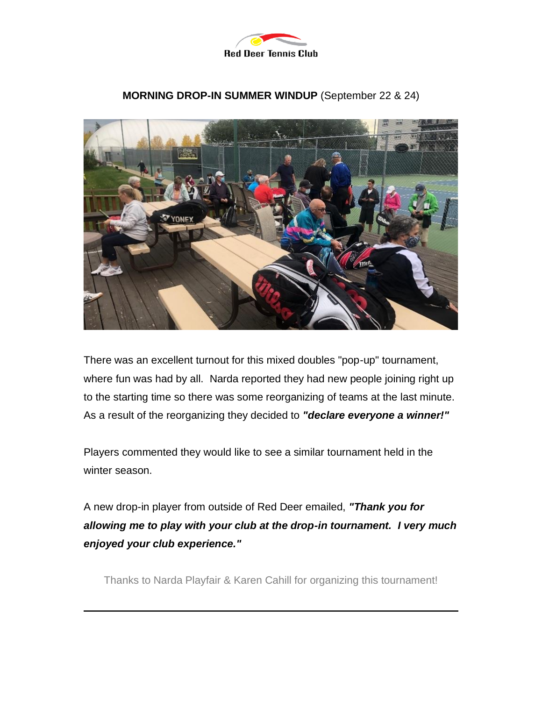

#### **MORNING DROP-IN SUMMER WINDUP** (September 22 & 24)

There was an excellent turnout for this mixed doubles "pop-up" tournament, where fun was had by all. Narda reported they had new people joining right up to the starting time so there was some reorganizing of teams at the last minute. As a result of the reorganizing they decided to *"declare everyone a winner!"*

Players commented they would like to see a similar tournament held in the winter season.

A new drop-in player from outside of Red Deer emailed, *"Thank you for allowing me to play with your club at the drop-in tournament. I very much enjoyed your club experience."*

Thanks to Narda Playfair & Karen Cahill for organizing this tournament!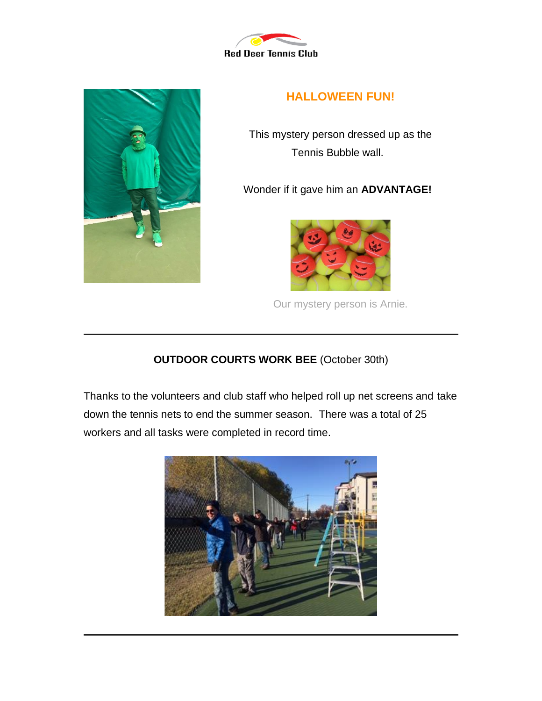



# **HALLOWEEN FUN!**

This mystery person dressed up as the Tennis Bubble wall.

Wonder if it gave him an **ADVANTAGE!** 



Our mystery person is Arnie.

# **OUTDOOR COURTS WORK BEE** (October 30th)

Thanks to the volunteers and club staff who helped roll up net screens and take down the tennis nets to end the summer season. There was a total of 25 workers and all tasks were completed in record time.